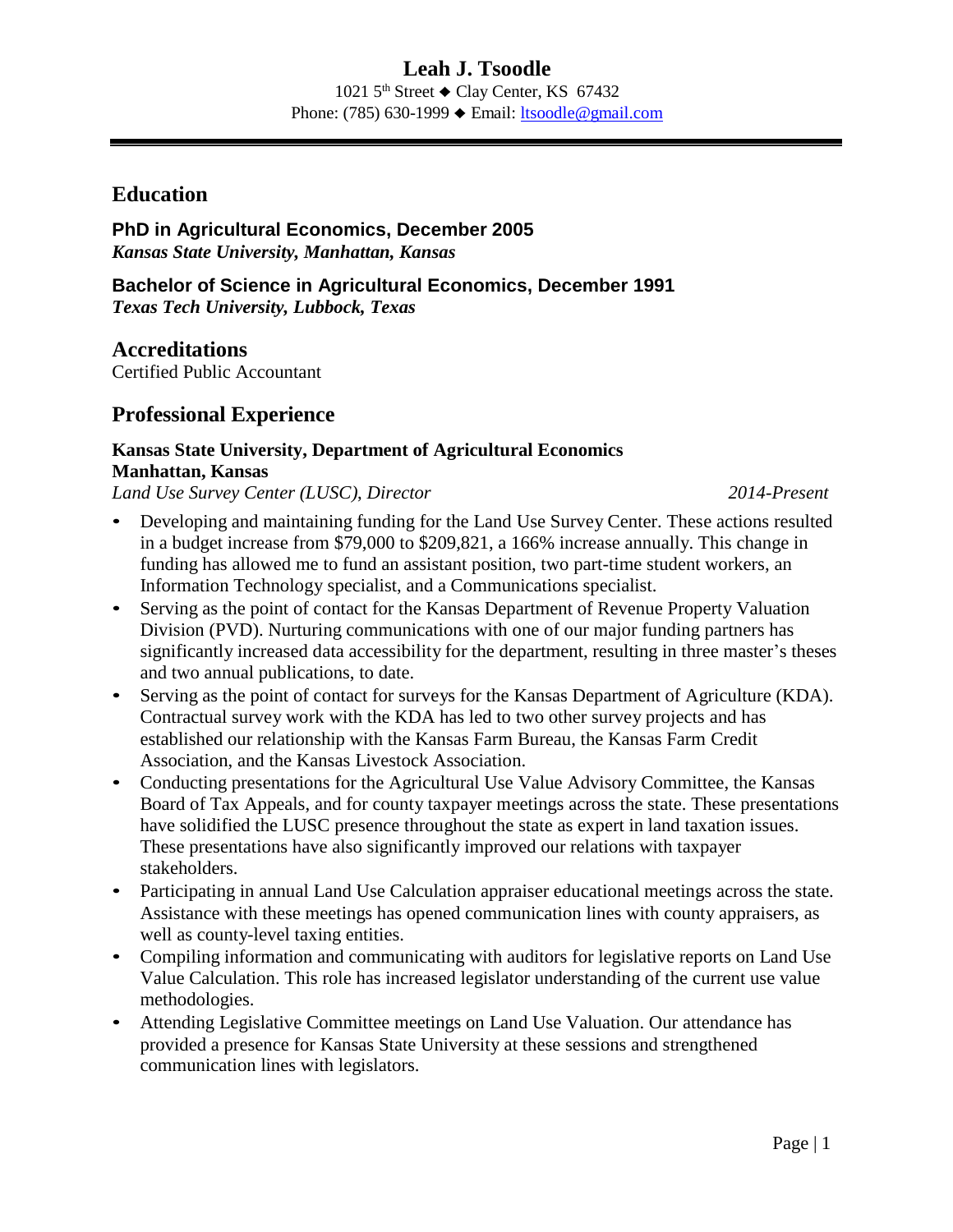1021  $5<sup>th</sup>$  Street  $\triangle$  Clay Center, KS 67432 Phone: (785) 630-1999 ♦ Email: [ltsoodle@gmail.com](mailto:ltsoodle@gmail.com)

### **Education**

**PhD in Agricultural Economics, December 2005** *Kansas State University, Manhattan, Kansas*

**Bachelor of Science in Agricultural Economics, December 1991** *Texas Tech University, Lubbock, Texas*

**Accreditations** Certified Public Accountant

## **Professional Experience**

### **Kansas State University, Department of Agricultural Economics Manhattan, Kansas**

*Land Use Survey Center (LUSC)*, *Director 2014-Present*

- Developing and maintaining funding for the Land Use Survey Center. These actions resulted in a budget increase from \$79,000 to \$209,821, a 166% increase annually. This change in funding has allowed me to fund an assistant position, two part-time student workers, an Information Technology specialist, and a Communications specialist.
- Serving as the point of contact for the Kansas Department of Revenue Property Valuation Division (PVD). Nurturing communications with one of our major funding partners has significantly increased data accessibility for the department, resulting in three master's theses and two annual publications, to date.
- Serving as the point of contact for surveys for the Kansas Department of Agriculture (KDA). Contractual survey work with the KDA has led to two other survey projects and has established our relationship with the Kansas Farm Bureau, the Kansas Farm Credit Association, and the Kansas Livestock Association.
- Conducting presentations for the Agricultural Use Value Advisory Committee, the Kansas Board of Tax Appeals, and for county taxpayer meetings across the state. These presentations have solidified the LUSC presence throughout the state as expert in land taxation issues. These presentations have also significantly improved our relations with taxpayer stakeholders.
- Participating in annual Land Use Calculation appraiser educational meetings across the state. Assistance with these meetings has opened communication lines with county appraisers, as well as county-level taxing entities.
- Compiling information and communicating with auditors for legislative reports on Land Use Value Calculation. This role has increased legislator understanding of the current use value methodologies.
- Attending Legislative Committee meetings on Land Use Valuation. Our attendance has provided a presence for Kansas State University at these sessions and strengthened communication lines with legislators.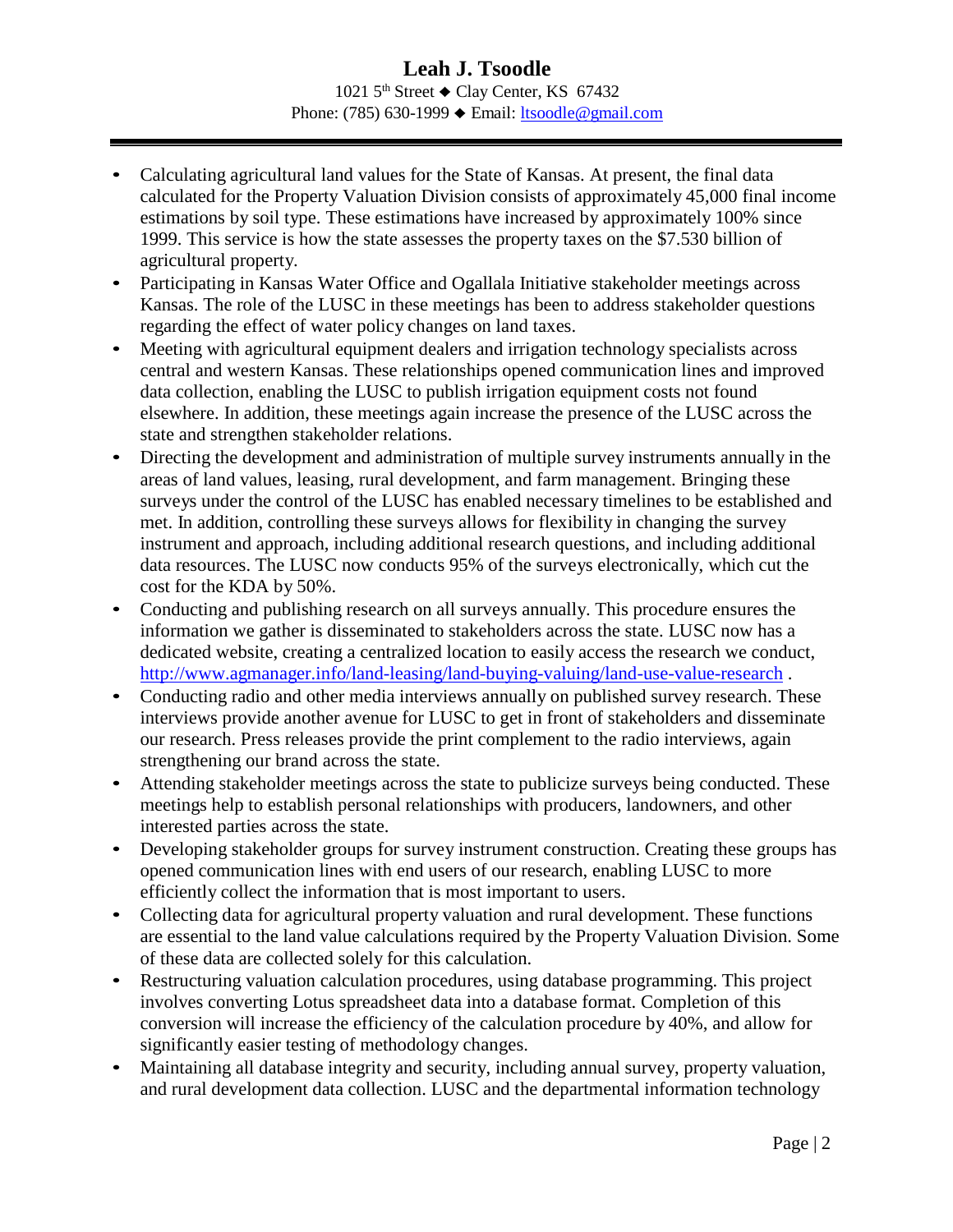#### **Leah J. Tsoodle** 1021  $5<sup>th</sup>$  Street  $\triangle$  Clay Center, KS 67432 Phone: (785) 630-1999 ♦ Email: [ltsoodle@gmail.com](mailto:ltsoodle@gmail.com)

- Calculating agricultural land values for the State of Kansas. At present, the final data calculated for the Property Valuation Division consists of approximately 45,000 final income estimations by soil type. These estimations have increased by approximately 100% since 1999. This service is how the state assesses the property taxes on the \$7.530 billion of agricultural property.
- Participating in Kansas Water Office and Ogallala Initiative stakeholder meetings across Kansas. The role of the LUSC in these meetings has been to address stakeholder questions regarding the effect of water policy changes on land taxes.
- Meeting with agricultural equipment dealers and irrigation technology specialists across central and western Kansas. These relationships opened communication lines and improved data collection, enabling the LUSC to publish irrigation equipment costs not found elsewhere. In addition, these meetings again increase the presence of the LUSC across the state and strengthen stakeholder relations.
- Directing the development and administration of multiple survey instruments annually in the areas of land values, leasing, rural development, and farm management. Bringing these surveys under the control of the LUSC has enabled necessary timelines to be established and met. In addition, controlling these surveys allows for flexibility in changing the survey instrument and approach, including additional research questions, and including additional data resources. The LUSC now conducts 95% of the surveys electronically, which cut the cost for the KDA by 50%.
- Conducting and publishing research on all surveys annually. This procedure ensures the information we gather is disseminated to stakeholders across the state. LUSC now has a dedicated website, creating a centralized location to easily access the research we conduct, <http://www.agmanager.info/land-leasing/land-buying-valuing/land-use-value-research> .
- Conducting radio and other media interviews annually on published survey research. These interviews provide another avenue for LUSC to get in front of stakeholders and disseminate our research. Press releases provide the print complement to the radio interviews, again strengthening our brand across the state.
- Attending stakeholder meetings across the state to publicize surveys being conducted. These meetings help to establish personal relationships with producers, landowners, and other interested parties across the state.
- Developing stakeholder groups for survey instrument construction. Creating these groups has opened communication lines with end users of our research, enabling LUSC to more efficiently collect the information that is most important to users.
- Collecting data for agricultural property valuation and rural development. These functions are essential to the land value calculations required by the Property Valuation Division. Some of these data are collected solely for this calculation.
- Restructuring valuation calculation procedures, using database programming. This project involves converting Lotus spreadsheet data into a database format. Completion of this conversion will increase the efficiency of the calculation procedure by 40%, and allow for significantly easier testing of methodology changes.
- Maintaining all database integrity and security, including annual survey, property valuation, and rural development data collection. LUSC and the departmental information technology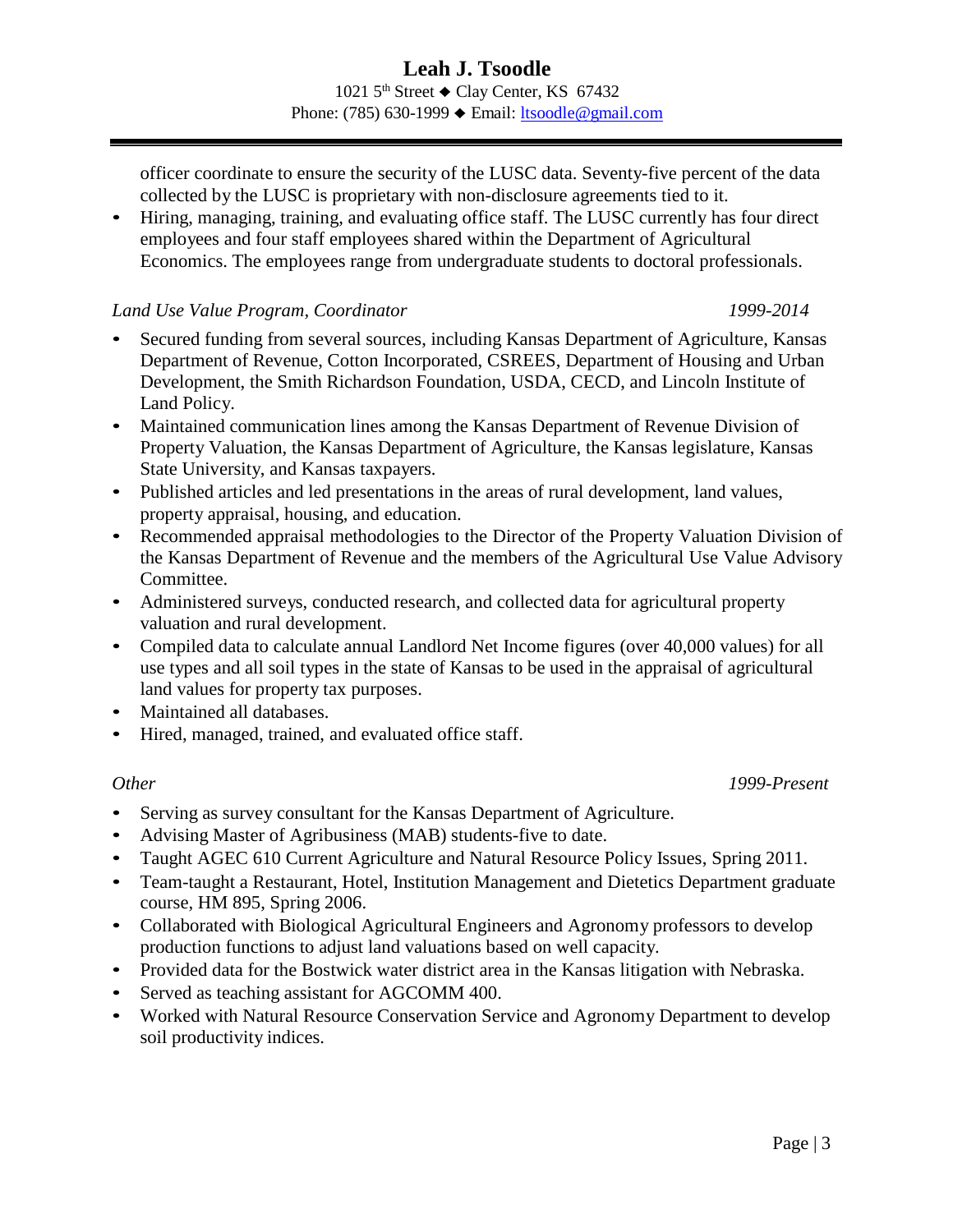officer coordinate to ensure the security of the LUSC data. Seventy-five percent of the data collected by the LUSC is proprietary with non-disclosure agreements tied to it.

• Hiring, managing, training, and evaluating office staff. The LUSC currently has four direct employees and four staff employees shared within the Department of Agricultural Economics. The employees range from undergraduate students to doctoral professionals.

#### *Land Use Value Program, Coordinator 1999-2014*

- Secured funding from several sources, including Kansas Department of Agriculture, Kansas Department of Revenue, Cotton Incorporated, CSREES, Department of Housing and Urban Development, the Smith Richardson Foundation, USDA, CECD, and Lincoln Institute of Land Policy.
- Maintained communication lines among the Kansas Department of Revenue Division of Property Valuation, the Kansas Department of Agriculture, the Kansas legislature, Kansas State University, and Kansas taxpayers.
- Published articles and led presentations in the areas of rural development, land values, property appraisal, housing, and education.
- Recommended appraisal methodologies to the Director of the Property Valuation Division of the Kansas Department of Revenue and the members of the Agricultural Use Value Advisory Committee.
- Administered surveys, conducted research, and collected data for agricultural property valuation and rural development.
- Compiled data to calculate annual Landlord Net Income figures (over 40,000 values) for all use types and all soil types in the state of Kansas to be used in the appraisal of agricultural land values for property tax purposes.
- Maintained all databases.
- Hired, managed, trained, and evaluated office staff.

#### *Other 1999-Present*

- Serving as survey consultant for the Kansas Department of Agriculture.
- Advising Master of Agribusiness (MAB) students-five to date.
- Taught AGEC 610 Current Agriculture and Natural Resource Policy Issues, Spring 2011.
- Team-taught a Restaurant, Hotel, Institution Management and Dietetics Department graduate course, HM 895, Spring 2006.
- Collaborated with Biological Agricultural Engineers and Agronomy professors to develop production functions to adjust land valuations based on well capacity.
- Provided data for the Bostwick water district area in the Kansas litigation with Nebraska.
- Served as teaching assistant for AGCOMM 400.
- Worked with Natural Resource Conservation Service and Agronomy Department to develop soil productivity indices.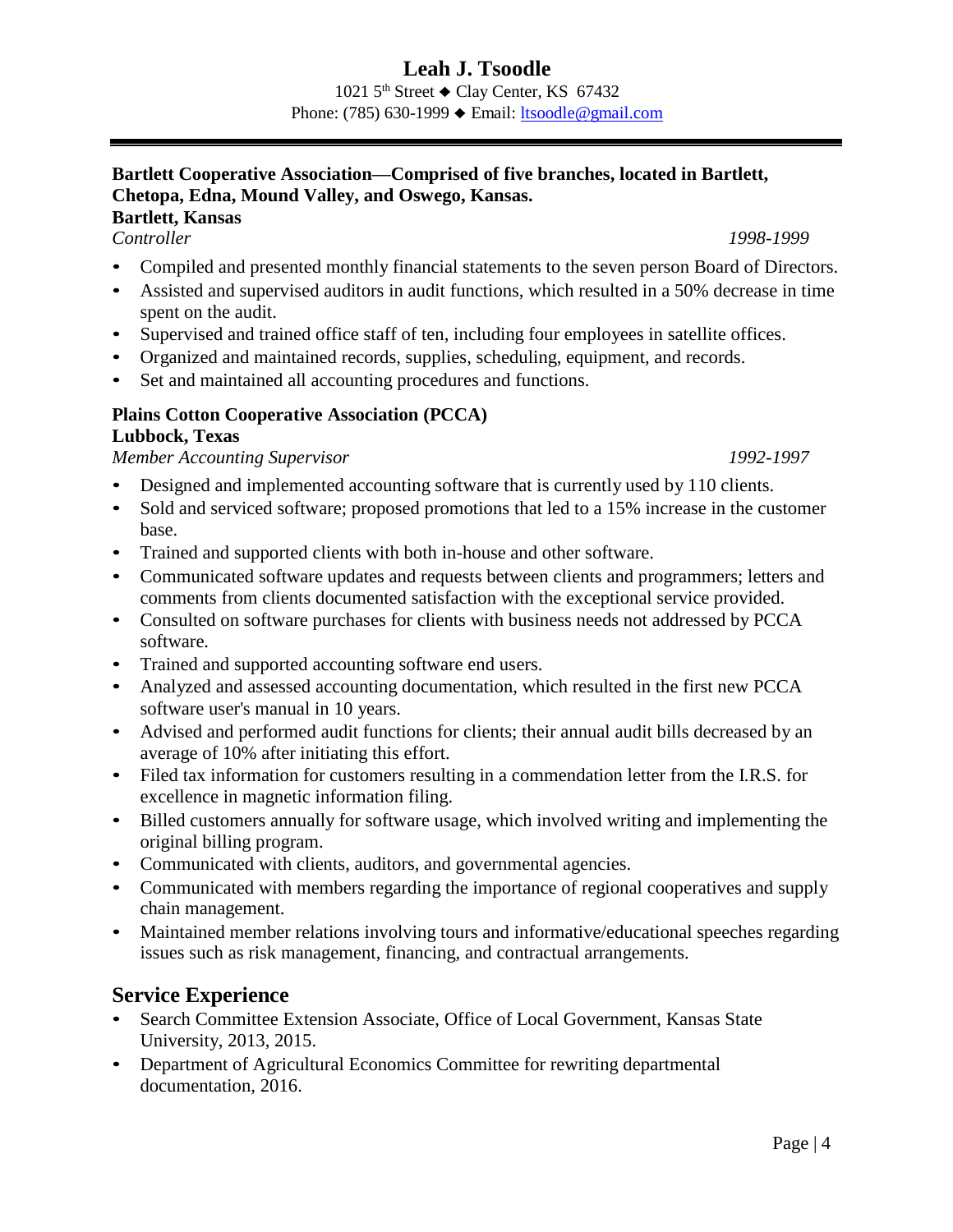1021  $5<sup>th</sup>$  Street  $\triangle$  Clay Center, KS 67432 Phone: (785) 630-1999 ♦ Email: [ltsoodle@gmail.com](mailto:ltsoodle@gmail.com)

## **Bartlett Cooperative Association—Comprised of five branches, located in Bartlett, Chetopa, Edna, Mound Valley, and Oswego, Kansas.**

## **Bartlett, Kansas**

*Controller 1998-1999*

- Compiled and presented monthly financial statements to the seven person Board of Directors.
- Assisted and supervised auditors in audit functions, which resulted in a 50% decrease in time spent on the audit.
- Supervised and trained office staff of ten, including four employees in satellite offices.
- Organized and maintained records, supplies, scheduling, equipment, and records.
- Set and maintained all accounting procedures and functions.

### **Plains Cotton Cooperative Association (PCCA)**

#### **Lubbock, Texas**

*Member Accounting Supervisor 1992-1997*

- Designed and implemented accounting software that is currently used by 110 clients.
- Sold and serviced software; proposed promotions that led to a 15% increase in the customer base.
- Trained and supported clients with both in-house and other software.
- Communicated software updates and requests between clients and programmers; letters and comments from clients documented satisfaction with the exceptional service provided.
- Consulted on software purchases for clients with business needs not addressed by PCCA software.
- Trained and supported accounting software end users.
- Analyzed and assessed accounting documentation, which resulted in the first new PCCA software user's manual in 10 years.
- Advised and performed audit functions for clients; their annual audit bills decreased by an average of 10% after initiating this effort.
- Filed tax information for customers resulting in a commendation letter from the I.R.S. for excellence in magnetic information filing.
- Billed customers annually for software usage, which involved writing and implementing the original billing program.
- Communicated with clients, auditors, and governmental agencies.
- Communicated with members regarding the importance of regional cooperatives and supply chain management.
- Maintained member relations involving tours and informative/educational speeches regarding issues such as risk management, financing, and contractual arrangements.

## **Service Experience**

- Search Committee Extension Associate, Office of Local Government, Kansas State University, 2013, 2015.
- Department of Agricultural Economics Committee for rewriting departmental documentation, 2016.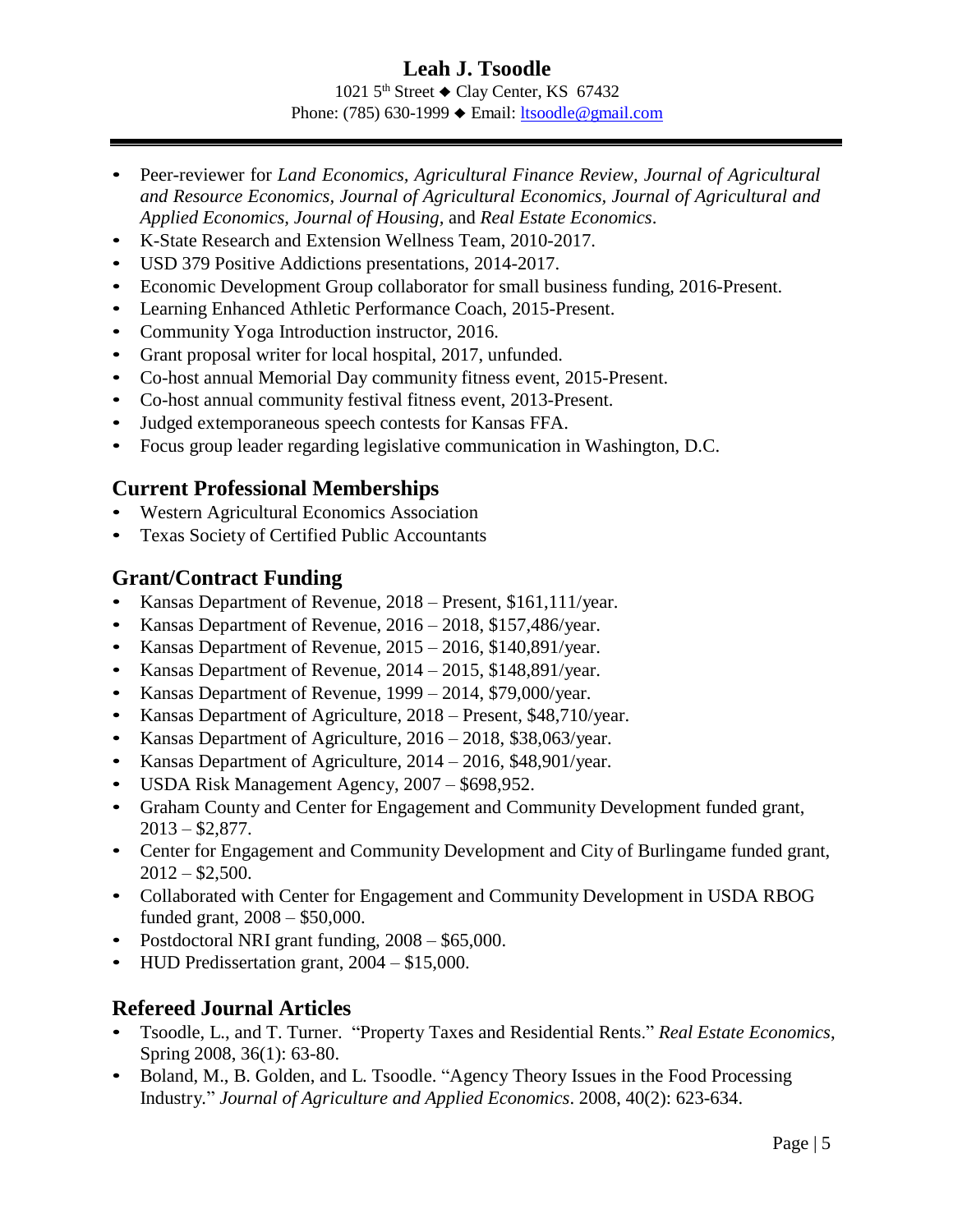1021  $5<sup>th</sup>$  Street  $\triangle$  Clay Center, KS 67432 Phone: (785) 630-1999 ♦ Email: [ltsoodle@gmail.com](mailto:ltsoodle@gmail.com)

- Peer-reviewer for *Land Economics, Agricultural Finance Review, Journal of Agricultural and Resource Economics, Journal of Agricultural Economics, Journal of Agricultural and Applied Economics, Journal of Housing,* and *Real Estate Economics*.
- K-State Research and Extension Wellness Team, 2010-2017.
- USD 379 Positive Addictions presentations, 2014-2017.
- Economic Development Group collaborator for small business funding, 2016-Present.
- Learning Enhanced Athletic Performance Coach, 2015-Present.
- Community Yoga Introduction instructor, 2016.
- Grant proposal writer for local hospital, 2017, unfunded.
- Co-host annual Memorial Day community fitness event, 2015-Present.
- Co-host annual community festival fitness event, 2013-Present.
- Judged extemporaneous speech contests for Kansas FFA.
- Focus group leader regarding legislative communication in Washington, D.C.

## **Current Professional Memberships**

- Western Agricultural Economics Association
- Texas Society of Certified Public Accountants

## **Grant/Contract Funding**

- Kansas Department of Revenue, 2018 Present, \$161,111/year.
- Kansas Department of Revenue, 2016 2018, \$157,486/year.
- Kansas Department of Revenue, 2015 2016, \$140,891/year.
- Kansas Department of Revenue, 2014 2015, \$148,891/year.
- Kansas Department of Revenue, 1999 2014, \$79,000/year.
- Kansas Department of Agriculture, 2018 Present, \$48,710/year.
- Kansas Department of Agriculture, 2016 2018, \$38,063/year.
- Kansas Department of Agriculture, 2014 2016, \$48,901/year.
- USDA Risk Management Agency, 2007 \$698,952.
- Graham County and Center for Engagement and Community Development funded grant,  $2013 - $2,877$ .
- Center for Engagement and Community Development and City of Burlingame funded grant,  $2012 - $2,500.$
- Collaborated with Center for Engagement and Community Development in USDA RBOG funded grant, 2008 – \$50,000.
- Postdoctoral NRI grant funding, 2008 \$65,000.
- HUD Predissertation grant,  $2004 $15,000$ .

## **Refereed Journal Articles**

- Tsoodle, L., and T. Turner. "Property Taxes and Residential Rents." *Real Estate Economics*, Spring 2008, 36(1): 63-80.
- Boland, M., B. Golden, and L. Tsoodle. "Agency Theory Issues in the Food Processing Industry." *Journal of Agriculture and Applied Economics*. 2008, 40(2): 623-634.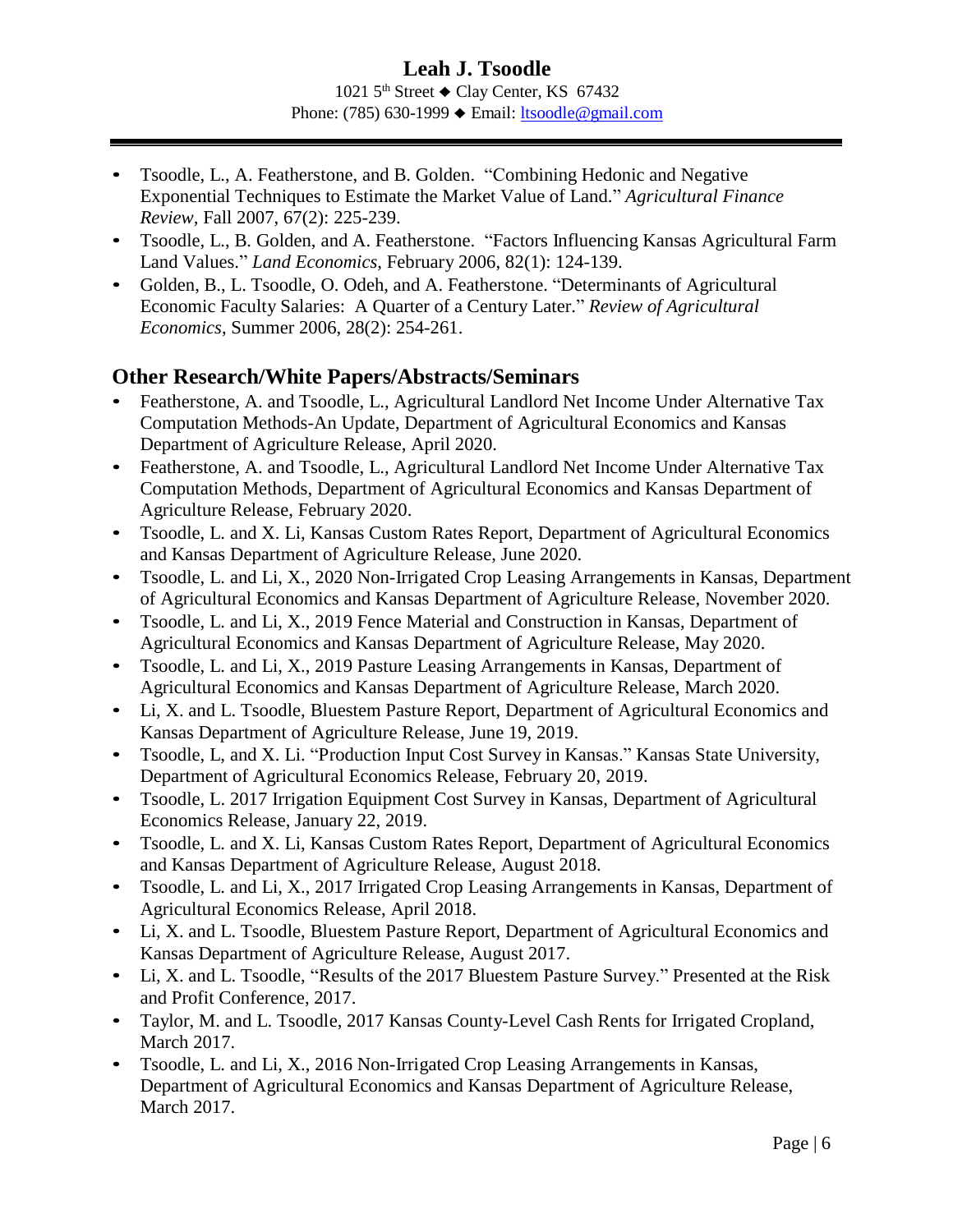#### **Leah J. Tsoodle** 1021  $5<sup>th</sup>$  Street  $\triangle$  Clay Center, KS 67432 Phone: (785) 630-1999 ♦ Email: [ltsoodle@gmail.com](mailto:ltsoodle@gmail.com)

- Tsoodle, L., A. Featherstone, and B. Golden. "Combining Hedonic and Negative Exponential Techniques to Estimate the Market Value of Land." *Agricultural Finance Review,* Fall 2007, 67(2): 225-239.
- Tsoodle, L., B. Golden, and A. Featherstone. "Factors Influencing Kansas Agricultural Farm Land Values." *Land Economics*, February 2006, 82(1): 124-139.
- Golden, B., L. Tsoodle, O. Odeh, and A. Featherstone. "Determinants of Agricultural Economic Faculty Salaries: A Quarter of a Century Later." *Review of Agricultural Economics*, Summer 2006, 28(2): 254-261.

### **Other Research/White Papers/Abstracts/Seminars**

- Featherstone, A. and Tsoodle, L., Agricultural Landlord Net Income Under Alternative Tax Computation Methods-An Update, Department of Agricultural Economics and Kansas Department of Agriculture Release, April 2020.
- Featherstone, A. and Tsoodle, L., Agricultural Landlord Net Income Under Alternative Tax Computation Methods, Department of Agricultural Economics and Kansas Department of Agriculture Release, February 2020.
- Tsoodle, L. and X. Li, Kansas Custom Rates Report, Department of Agricultural Economics and Kansas Department of Agriculture Release, June 2020.
- Tsoodle, L. and Li, X., 2020 Non-Irrigated Crop Leasing Arrangements in Kansas, Department of Agricultural Economics and Kansas Department of Agriculture Release, November 2020.
- Tsoodle, L. and Li, X., 2019 Fence Material and Construction in Kansas, Department of Agricultural Economics and Kansas Department of Agriculture Release, May 2020.
- Tsoodle, L. and Li, X., 2019 Pasture Leasing Arrangements in Kansas, Department of Agricultural Economics and Kansas Department of Agriculture Release, March 2020.
- Li, X. and L. Tsoodle, Bluestem Pasture Report, Department of Agricultural Economics and Kansas Department of Agriculture Release, June 19, 2019.
- Tsoodle, L, and X. Li. "Production Input Cost Survey in Kansas." Kansas State University, Department of Agricultural Economics Release, February 20, 2019.
- Tsoodle, L. 2017 Irrigation Equipment Cost Survey in Kansas, Department of Agricultural Economics Release, January 22, 2019.
- Tsoodle, L. and X. Li, Kansas Custom Rates Report, Department of Agricultural Economics and Kansas Department of Agriculture Release, August 2018.
- Tsoodle, L. and Li, X., 2017 Irrigated Crop Leasing Arrangements in Kansas, Department of Agricultural Economics Release, April 2018.
- Li, X. and L. Tsoodle, Bluestem Pasture Report, Department of Agricultural Economics and Kansas Department of Agriculture Release, August 2017.
- Li, X. and L. Tsoodle, "Results of the 2017 Bluestem Pasture Survey." Presented at the Risk and Profit Conference, 2017.
- Taylor, M. and L. Tsoodle, 2017 Kansas County-Level Cash Rents for Irrigated Cropland, March 2017.
- Tsoodle, L. and Li, X., 2016 Non-Irrigated Crop Leasing Arrangements in Kansas, Department of Agricultural Economics and Kansas Department of Agriculture Release, March 2017.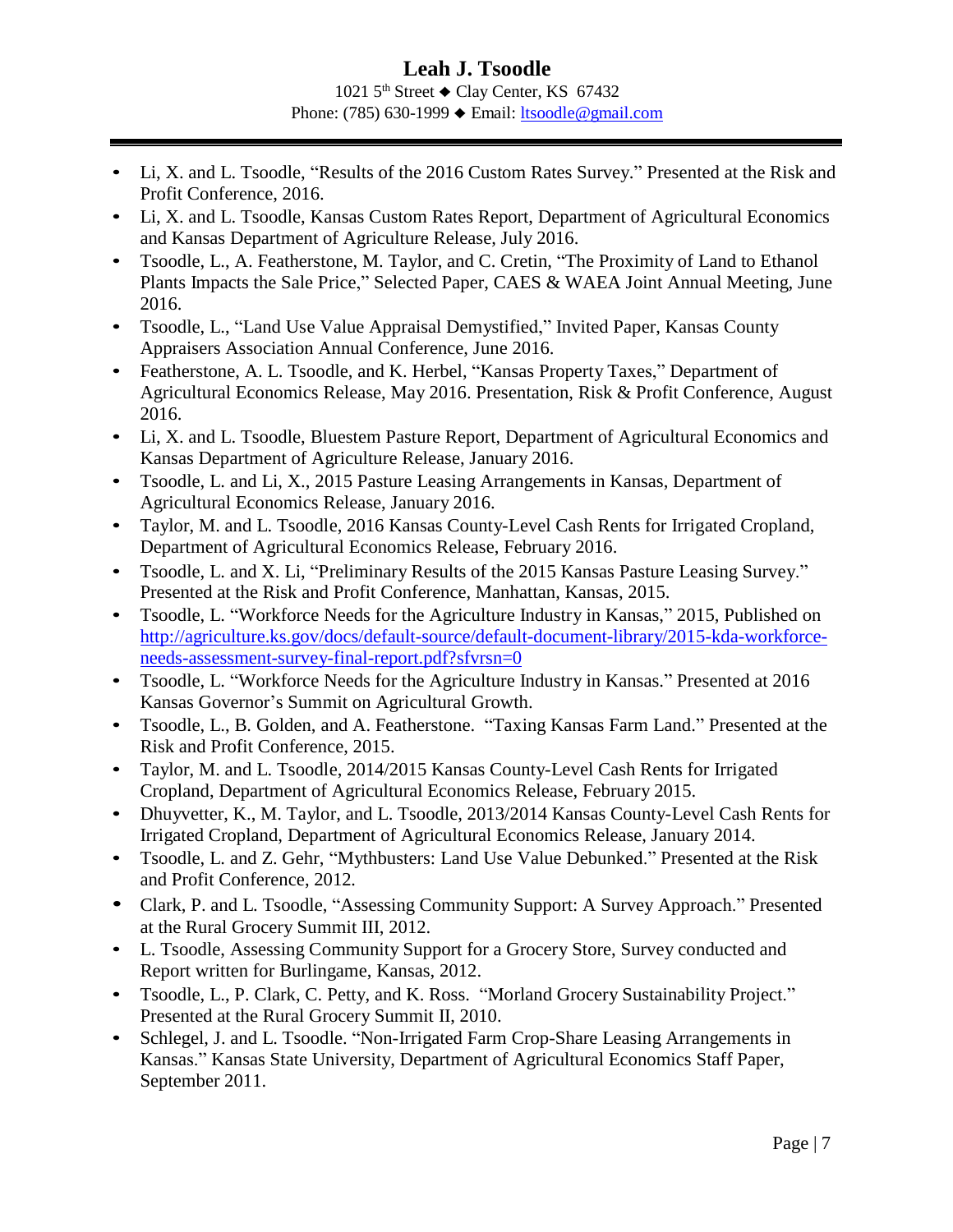1021  $5<sup>th</sup>$  Street  $\triangle$  Clay Center, KS 67432 Phone: (785) 630-1999 ♦ Email: [ltsoodle@gmail.com](mailto:ltsoodle@gmail.com)

- Li, X. and L. Tsoodle, "Results of the 2016 Custom Rates Survey." Presented at the Risk and Profit Conference, 2016.
- Li, X. and L. Tsoodle, Kansas Custom Rates Report, Department of Agricultural Economics and Kansas Department of Agriculture Release, July 2016.
- Tsoodle, L., A. Featherstone, M. Taylor, and C. Cretin, "The Proximity of Land to Ethanol Plants Impacts the Sale Price," Selected Paper, CAES & WAEA Joint Annual Meeting, June 2016.
- Tsoodle, L., "Land Use Value Appraisal Demystified," Invited Paper, Kansas County Appraisers Association Annual Conference, June 2016.
- Featherstone, A. L. Tsoodle, and K. Herbel, "Kansas Property Taxes," Department of Agricultural Economics Release, May 2016. Presentation, Risk & Profit Conference, August 2016.
- Li, X. and L. Tsoodle, Bluestem Pasture Report, Department of Agricultural Economics and Kansas Department of Agriculture Release, January 2016.
- Tsoodle, L. and Li, X., 2015 Pasture Leasing Arrangements in Kansas, Department of Agricultural Economics Release, January 2016.
- Taylor, M. and L. Tsoodle, 2016 Kansas County-Level Cash Rents for Irrigated Cropland, Department of Agricultural Economics Release, February 2016.
- Tsoodle, L. and X. Li, "Preliminary Results of the 2015 Kansas Pasture Leasing Survey." Presented at the Risk and Profit Conference, Manhattan, Kansas, 2015.
- Tsoodle, L. "Workforce Needs for the Agriculture Industry in Kansas," 2015, Published on [http://agriculture.ks.gov/docs/default-source/default-document-library/2015-kda-workforce](http://agriculture.ks.gov/docs/default-source/default-document-library/2015-kda-workforce-needs-assessment-survey-final-report.pdf?sfvrsn=0)[needs-assessment-survey-final-report.pdf?sfvrsn=0](http://agriculture.ks.gov/docs/default-source/default-document-library/2015-kda-workforce-needs-assessment-survey-final-report.pdf?sfvrsn=0)
- Tsoodle, L. "Workforce Needs for the Agriculture Industry in Kansas." Presented at 2016 Kansas Governor's Summit on Agricultural Growth.
- Tsoodle, L., B. Golden, and A. Featherstone. "Taxing Kansas Farm Land." Presented at the Risk and Profit Conference, 2015.
- Taylor, M. and L. Tsoodle, 2014/2015 Kansas County-Level Cash Rents for Irrigated Cropland, Department of Agricultural Economics Release, February 2015.
- Dhuyvetter, K., M. Taylor, and L. Tsoodle, 2013/2014 Kansas County-Level Cash Rents for Irrigated Cropland, Department of Agricultural Economics Release, January 2014.
- Tsoodle, L. and Z. Gehr, "Mythbusters: Land Use Value Debunked." Presented at the Risk and Profit Conference, 2012*.*
- Clark, P. and L. Tsoodle, "Assessing Community Support: A Survey Approach." Presented at the Rural Grocery Summit III, 2012.
- L. Tsoodle, Assessing Community Support for a Grocery Store, Survey conducted and Report written for Burlingame, Kansas, 2012.
- Tsoodle, L., P. Clark, C. Petty, and K. Ross. "Morland Grocery Sustainability Project." Presented at the Rural Grocery Summit II, 2010.
- Schlegel, J. and L. Tsoodle. "Non-Irrigated Farm Crop-Share Leasing Arrangements in Kansas." Kansas State University, Department of Agricultural Economics Staff Paper, September 2011.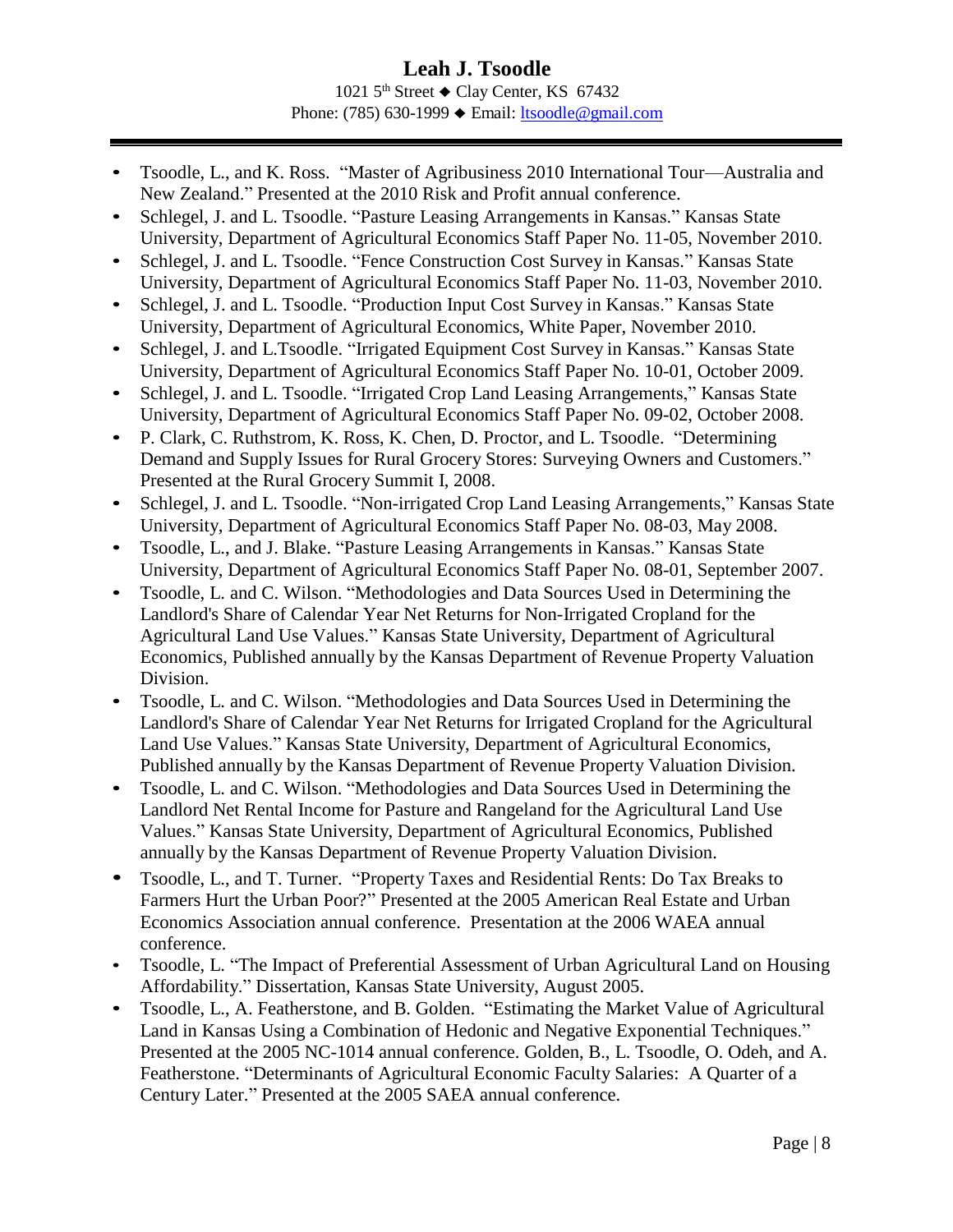1021  $5<sup>th</sup>$  Street  $\triangle$  Clay Center, KS 67432 Phone: (785) 630-1999 ♦ Email: [ltsoodle@gmail.com](mailto:ltsoodle@gmail.com)

- Tsoodle, L., and K. Ross. "Master of Agribusiness 2010 International Tour—Australia and New Zealand." Presented at the 2010 Risk and Profit annual conference.
- Schlegel, J. and L. Tsoodle. "Pasture Leasing Arrangements in Kansas." Kansas State University, Department of Agricultural Economics Staff Paper No. 11-05, November 2010.
- Schlegel, J. and L. Tsoodle. "Fence Construction Cost Survey in Kansas." Kansas State University, Department of Agricultural Economics Staff Paper No. 11-03, November 2010.
- Schlegel, J. and L. Tsoodle. "Production Input Cost Survey in Kansas." Kansas State University, Department of Agricultural Economics, White Paper, November 2010.
- Schlegel, J. and L.Tsoodle. "Irrigated Equipment Cost Survey in Kansas." Kansas State University, Department of Agricultural Economics Staff Paper No. 10-01, October 2009.
- Schlegel, J. and L. Tsoodle. "Irrigated Crop Land Leasing Arrangements," Kansas State University, Department of Agricultural Economics Staff Paper No. 09-02, October 2008.
- P. Clark, C. Ruthstrom, K. Ross, K. Chen, D. Proctor, and L. Tsoodle. "Determining Demand and Supply Issues for Rural Grocery Stores: Surveying Owners and Customers." Presented at the Rural Grocery Summit I, 2008.
- Schlegel, J. and L. Tsoodle. "Non-irrigated Crop Land Leasing Arrangements," Kansas State University, Department of Agricultural Economics Staff Paper No. 08-03, May 2008.
- Tsoodle, L., and J. Blake. "Pasture Leasing Arrangements in Kansas." Kansas State University, Department of Agricultural Economics Staff Paper No. 08-01, September 2007.
- Tsoodle, L. and C. Wilson. "Methodologies and Data Sources Used in Determining the Landlord's Share of Calendar Year Net Returns for Non-Irrigated Cropland for the Agricultural Land Use Values." Kansas State University, Department of Agricultural Economics, Published annually by the Kansas Department of Revenue Property Valuation Division.
- Tsoodle, L. and C. Wilson. "Methodologies and Data Sources Used in Determining the Landlord's Share of Calendar Year Net Returns for Irrigated Cropland for the Agricultural Land Use Values." Kansas State University, Department of Agricultural Economics, Published annually by the Kansas Department of Revenue Property Valuation Division.
- Tsoodle, L. and C. Wilson. "Methodologies and Data Sources Used in Determining the Landlord Net Rental Income for Pasture and Rangeland for the Agricultural Land Use Values." Kansas State University, Department of Agricultural Economics, Published annually by the Kansas Department of Revenue Property Valuation Division.
- Tsoodle, L., and T. Turner. "Property Taxes and Residential Rents: Do Tax Breaks to Farmers Hurt the Urban Poor?" Presented at the 2005 American Real Estate and Urban Economics Association annual conference. Presentation at the 2006 WAEA annual conference.
- Tsoodle, L. "The Impact of Preferential Assessment of Urban Agricultural Land on Housing Affordability." Dissertation, Kansas State University, August 2005.
- Tsoodle, L., A. Featherstone, and B. Golden. "Estimating the Market Value of Agricultural Land in Kansas Using a Combination of Hedonic and Negative Exponential Techniques." Presented at the 2005 NC-1014 annual conference. Golden, B., L. Tsoodle, O. Odeh, and A. Featherstone. "Determinants of Agricultural Economic Faculty Salaries: A Quarter of a Century Later." Presented at the 2005 SAEA annual conference.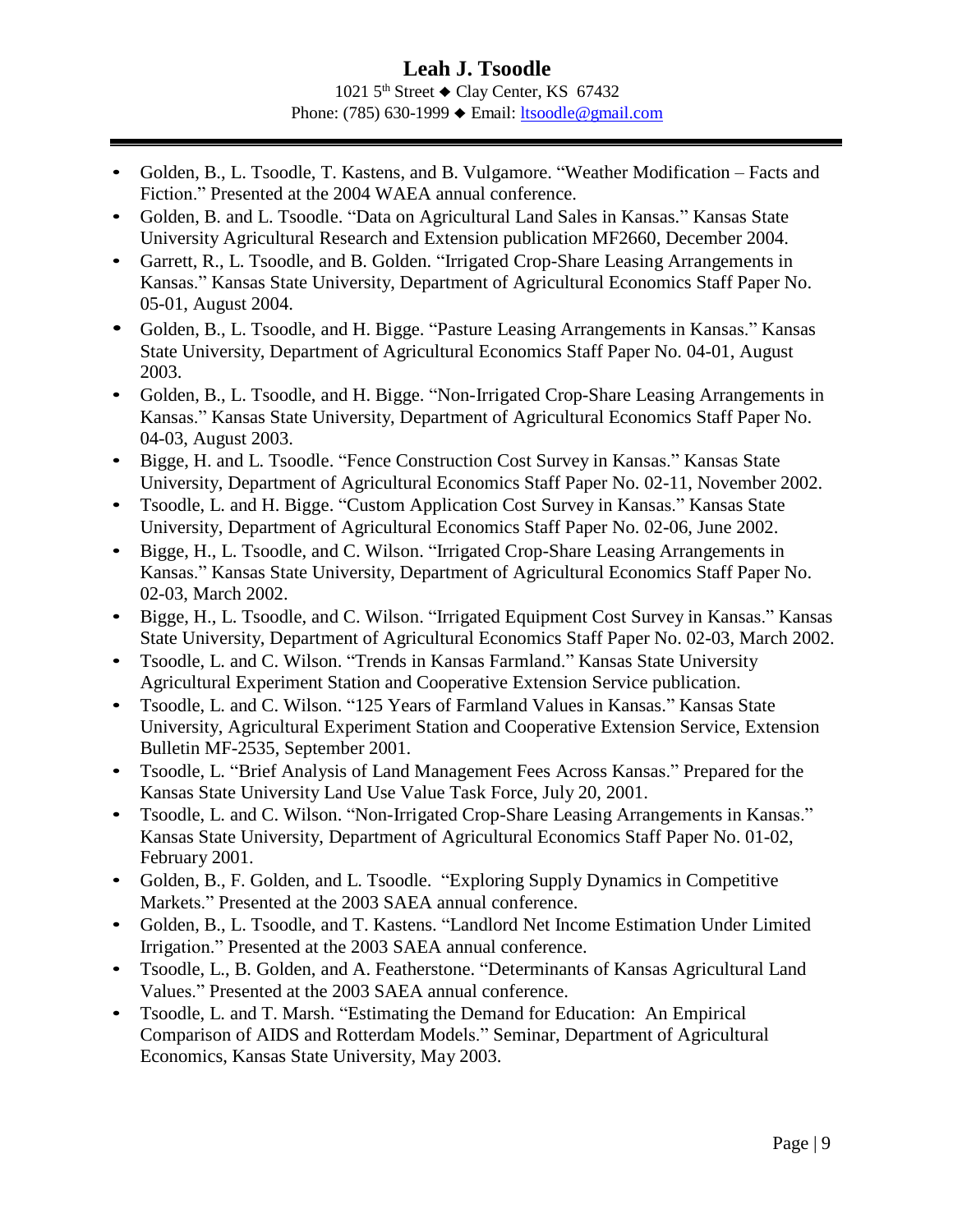#### **Leah J. Tsoodle** 1021  $5<sup>th</sup>$  Street  $\triangle$  Clay Center, KS 67432 Phone: (785) 630-1999 ♦ Email: [ltsoodle@gmail.com](mailto:ltsoodle@gmail.com)

- Golden, B., L. Tsoodle, T. Kastens, and B. Vulgamore. "Weather Modification Facts and Fiction." Presented at the 2004 WAEA annual conference.
- Golden, B. and L. Tsoodle. "Data on Agricultural Land Sales in Kansas." Kansas State University Agricultural Research and Extension publication MF2660, December 2004.
- Garrett, R., L. Tsoodle, and B. Golden. "Irrigated Crop-Share Leasing Arrangements in Kansas." Kansas State University, Department of Agricultural Economics Staff Paper No. 05-01, August 2004.
- Golden, B., L. Tsoodle, and H. Bigge. "Pasture Leasing Arrangements in Kansas." Kansas State University, Department of Agricultural Economics Staff Paper No. 04-01, August 2003.
- Golden, B., L. Tsoodle, and H. Bigge. "Non-Irrigated Crop-Share Leasing Arrangements in Kansas." Kansas State University, Department of Agricultural Economics Staff Paper No. 04-03, August 2003.
- Bigge, H. and L. Tsoodle. "Fence Construction Cost Survey in Kansas." Kansas State University, Department of Agricultural Economics Staff Paper No. 02-11, November 2002.
- Tsoodle, L. and H. Bigge. "Custom Application Cost Survey in Kansas." Kansas State University, Department of Agricultural Economics Staff Paper No. 02-06, June 2002.
- Bigge, H., L. Tsoodle, and C. Wilson. "Irrigated Crop-Share Leasing Arrangements in Kansas." Kansas State University, Department of Agricultural Economics Staff Paper No. 02-03, March 2002.
- Bigge, H., L. Tsoodle, and C. Wilson. "Irrigated Equipment Cost Survey in Kansas." Kansas State University, Department of Agricultural Economics Staff Paper No. 02-03, March 2002.
- Tsoodle, L. and C. Wilson. "Trends in Kansas Farmland." Kansas State University Agricultural Experiment Station and Cooperative Extension Service publication.
- Tsoodle, L. and C. Wilson. "125 Years of Farmland Values in Kansas." Kansas State University, Agricultural Experiment Station and Cooperative Extension Service, Extension Bulletin MF-2535, September 2001.
- Tsoodle, L. "Brief Analysis of Land Management Fees Across Kansas." Prepared for the Kansas State University Land Use Value Task Force, July 20, 2001.
- Tsoodle, L. and C. Wilson. "Non-Irrigated Crop-Share Leasing Arrangements in Kansas." Kansas State University, Department of Agricultural Economics Staff Paper No. 01-02, February 2001.
- Golden, B., F. Golden, and L. Tsoodle. "Exploring Supply Dynamics in Competitive Markets." Presented at the 2003 SAEA annual conference.
- Golden, B., L. Tsoodle, and T. Kastens. "Landlord Net Income Estimation Under Limited Irrigation." Presented at the 2003 SAEA annual conference.
- Tsoodle, L., B. Golden, and A. Featherstone. "Determinants of Kansas Agricultural Land Values." Presented at the 2003 SAEA annual conference.
- Tsoodle, L. and T. Marsh. "Estimating the Demand for Education: An Empirical Comparison of AIDS and Rotterdam Models." Seminar, Department of Agricultural Economics, Kansas State University, May 2003.